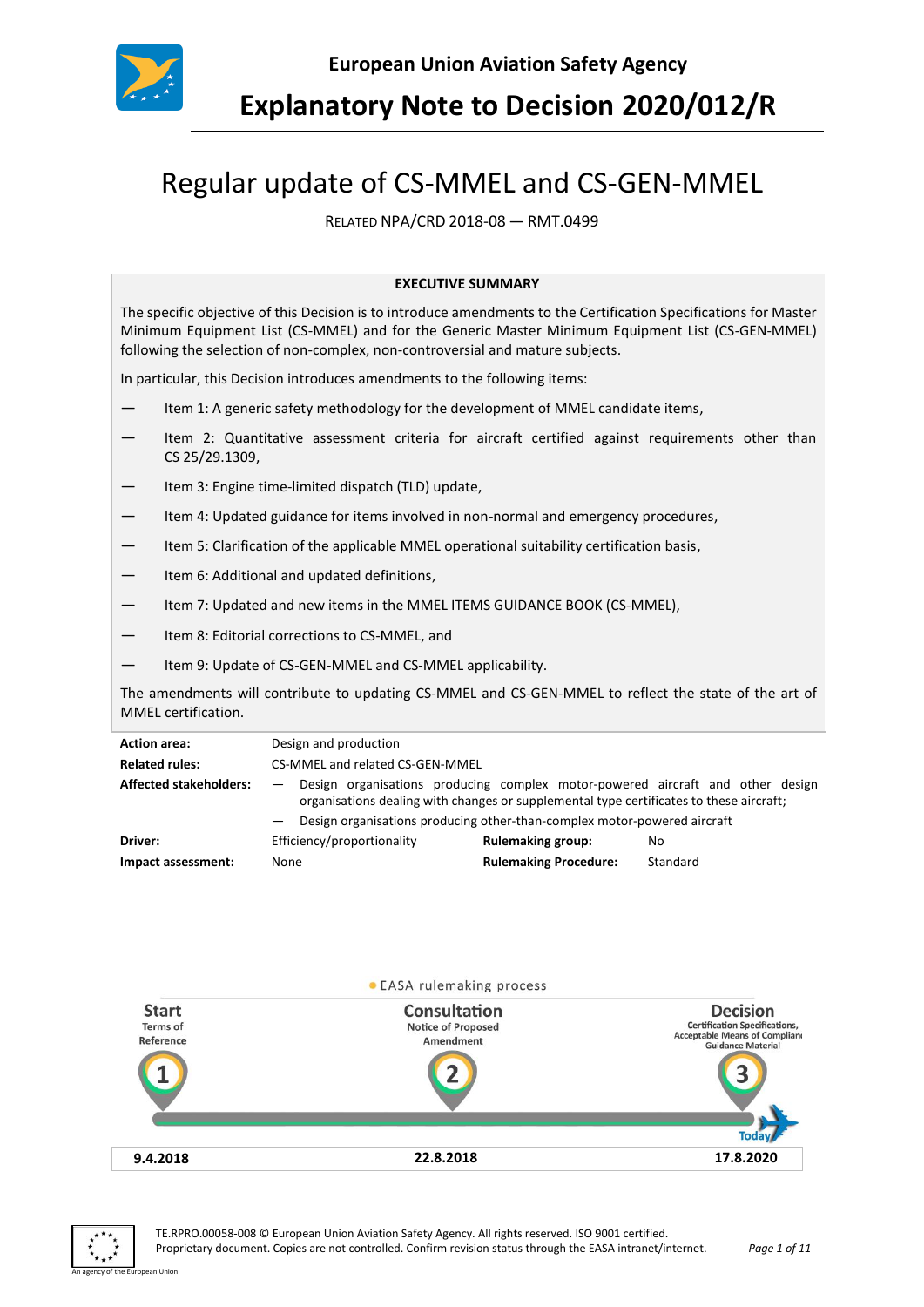

**Explanatory Note to Decision 2020/012/R**

# Regular update of CS-MMEL and CS-GEN-MMEL

RELATED NPA/CRD 2018-08 — RMT.0499

#### **EXECUTIVE SUMMARY**

The specific objective of this Decision is to introduce amendments to the Certification Specifications for Master Minimum Equipment List (CS-MMEL) and for the Generic Master Minimum Equipment List (CS-GEN-MMEL) following the selection of non-complex, non-controversial and mature subjects.

In particular, this Decision introduces amendments to the following items:

- Item 1: A generic safety methodology for the development of MMEL candidate items,
- Item 2: Quantitative assessment criteria for aircraft certified against requirements other than CS 25/29.1309,
- Item 3: Engine time-limited dispatch (TLD) update,
- Item 4: Updated guidance for items involved in non-normal and emergency procedures,
- Item 5: Clarification of the applicable MMEL operational suitability certification basis,
- Item 6: Additional and updated definitions,
- Item 7: Updated and new items in the MMEL ITEMS GUIDANCE BOOK (CS-MMEL),
- Item 8: Editorial corrections to CS-MMEL, and
- Item 9: Update of CS-GEN-MMEL and CS-MMEL applicability.

The amendments will contribute to updating CS-MMEL and CS-GEN-MMEL to reflect the state of the art of MMEL certification.

| <b>Action area:</b>           | Design and production                                                                                                                                                                                                                                                             |                              |          |
|-------------------------------|-----------------------------------------------------------------------------------------------------------------------------------------------------------------------------------------------------------------------------------------------------------------------------------|------------------------------|----------|
| <b>Related rules:</b>         | CS-MMEL and related CS-GEN-MMEL                                                                                                                                                                                                                                                   |                              |          |
| <b>Affected stakeholders:</b> | Design organisations producing complex motor-powered aircraft and other design<br>$\overline{\phantom{0}}$<br>organisations dealing with changes or supplemental type certificates to these aircraft;<br>Design organisations producing other-than-complex motor-powered aircraft |                              |          |
| Driver:                       | Efficiency/proportionality                                                                                                                                                                                                                                                        | <b>Rulemaking group:</b>     | No       |
| Impact assessment:            | None                                                                                                                                                                                                                                                                              | <b>Rulemaking Procedure:</b> | Standard |



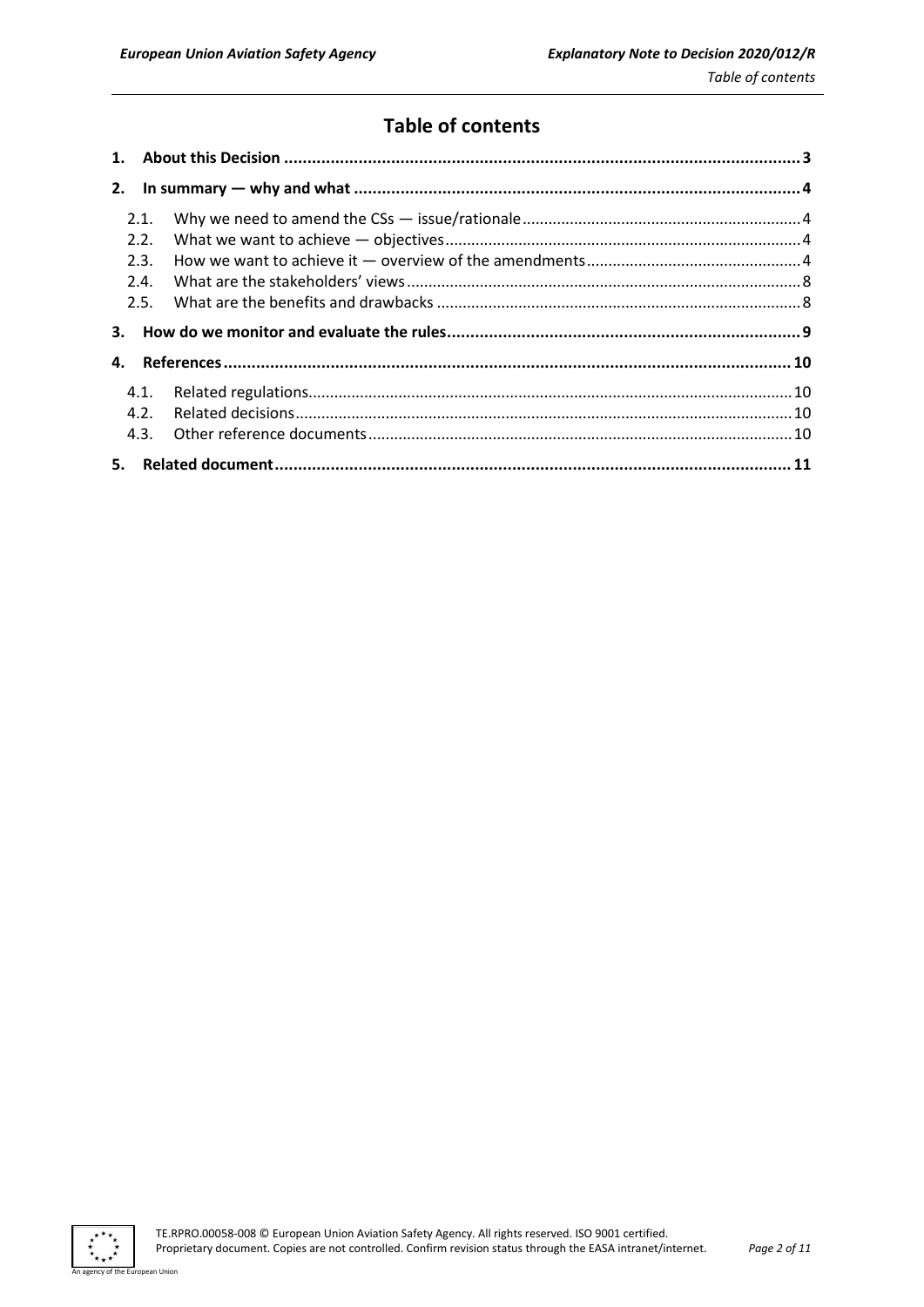# **Table of contents**

| 2.1. |  |
|------|--|
| 2.2. |  |
| 2.3. |  |
| 2.4. |  |
| 2.5. |  |
|      |  |
| 3.   |  |
| 4.   |  |
| 4.1. |  |
| 4.2. |  |
|      |  |

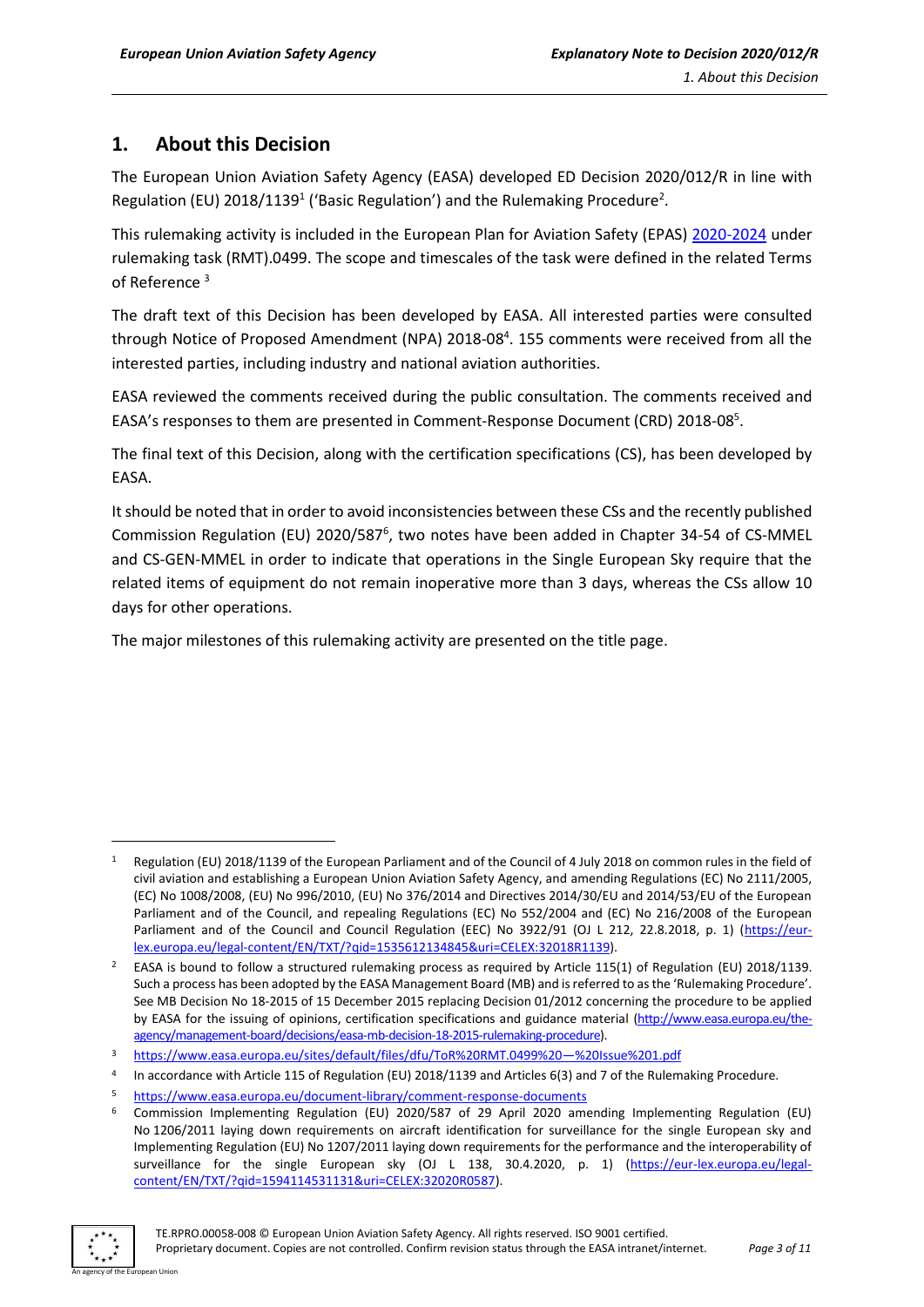## <span id="page-2-0"></span>**1. About this Decision**

The European Union Aviation Safety Agency (EASA) developed ED Decision 2020/012/R in line with Regulation (EU) 2018/1139<sup>1</sup> ('Basic Regulation') and the Rulemaking Procedure<sup>2</sup>.

This rulemaking activity is included in the European Plan for Aviation Safety (EPAS) [2020-2024](https://www.easa.europa.eu/sites/default/files/dfu/EPAS_2020-2024.pdf) under rulemaking task (RMT).0499. The scope and timescales of the task were defined in the related Terms of Reference <sup>3</sup>

The draft text of this Decision has been developed by EASA. All interested parties were consulted through Notice of Proposed Amendment (NPA) 2018-08<sup>4</sup>. 155 comments were received from all the interested parties, including industry and national aviation authorities.

EASA reviewed the comments received during the public consultation. The comments received and EASA's responses to them are presented in Comment-Response Document (CRD) 2018-08<sup>5</sup>.

The final text of this Decision, along with the certification specifications (CS), has been developed by EASA.

It should be noted that in order to avoid inconsistencies between these CSs and the recently published Commission Regulation (EU) 2020/587<sup>6</sup>, two notes have been added in Chapter 34-54 of CS-MMEL and CS-GEN-MMEL in order to indicate that operations in the Single European Sky require that the related items of equipment do not remain inoperative more than 3 days, whereas the CSs allow 10 days for other operations.

The major milestones of this rulemaking activity are presented on the title page.

<sup>6</sup> Commission Implementing Regulation (EU) 2020/587 of 29 April 2020 amending Implementing Regulation (EU) No 1206/2011 laying down requirements on aircraft identification for surveillance for the single European sky and Implementing Regulation (EU) No 1207/2011 laying down requirements for the performance and the interoperability of surveillance for the single European sky (OJ L 138, 30.4.2020, p. 1) [\(https://eur-lex.europa.eu/legal](https://eur-lex.europa.eu/legal-content/EN/TXT/?qid=1594114531131&uri=CELEX:32020R0587)[content/EN/TXT/?qid=1594114531131&uri=CELEX:32020R0587\)](https://eur-lex.europa.eu/legal-content/EN/TXT/?qid=1594114531131&uri=CELEX:32020R0587).



<sup>1</sup> Regulation (EU) 2018/1139 of the European Parliament and of the Council of 4 July 2018 on common rules in the field of civil aviation and establishing a European Union Aviation Safety Agency, and amending Regulations (EC) No 2111/2005, (EC) No 1008/2008, (EU) No 996/2010, (EU) No 376/2014 and Directives 2014/30/EU and 2014/53/EU of the European Parliament and of the Council, and repealing Regulations (EC) No 552/2004 and (EC) No 216/2008 of the European Parliament and of the Council and Council Regulation (EEC) No 3922/91 (OJ L 212, 22.8.2018, p. 1) [\(https://eur](https://eur-lex.europa.eu/legal-content/EN/TXT/?qid=1535612134845&uri=CELEX:32018R1139)[lex.europa.eu/legal-content/EN/TXT/?qid=1535612134845&uri=CELEX:32018R1139\)](https://eur-lex.europa.eu/legal-content/EN/TXT/?qid=1535612134845&uri=CELEX:32018R1139).

<sup>2</sup> EASA is bound to follow a structured rulemaking process as required by Article 115(1) of Regulation (EU) 2018/1139. Such a process has been adopted by the EASA Management Board (MB) and is referred to as the 'Rulemaking Procedure'. See MB Decision No 18-2015 of 15 December 2015 replacing Decision 01/2012 concerning the procedure to be applied by EASA for the issuing of opinions, certification specifications and guidance material [\(http://www.easa.europa.eu/the](http://www.easa.europa.eu/the-agency/management-board/decisions/easa-mb-decision-18-2015-rulemaking-procedure)[agency/management-board/decisions/easa-mb-decision-18-2015-rulemaking-procedure\)](http://www.easa.europa.eu/the-agency/management-board/decisions/easa-mb-decision-18-2015-rulemaking-procedure).

<sup>3</sup> [https://www.easa.europa.eu/sites/default/files/dfu/ToR%20RMT.0499%20](https://www.easa.europa.eu/sites/default/files/dfu/ToR%20RMT.0499%20—%20Issue%201.pdf)—%20Issue%201.pdf

<sup>4</sup> In accordance with Article 115 of Regulation (EU) 2018/1139 and Articles 6(3) and 7 of the Rulemaking Procedure.

<https://www.easa.europa.eu/document-library/comment-response-documents>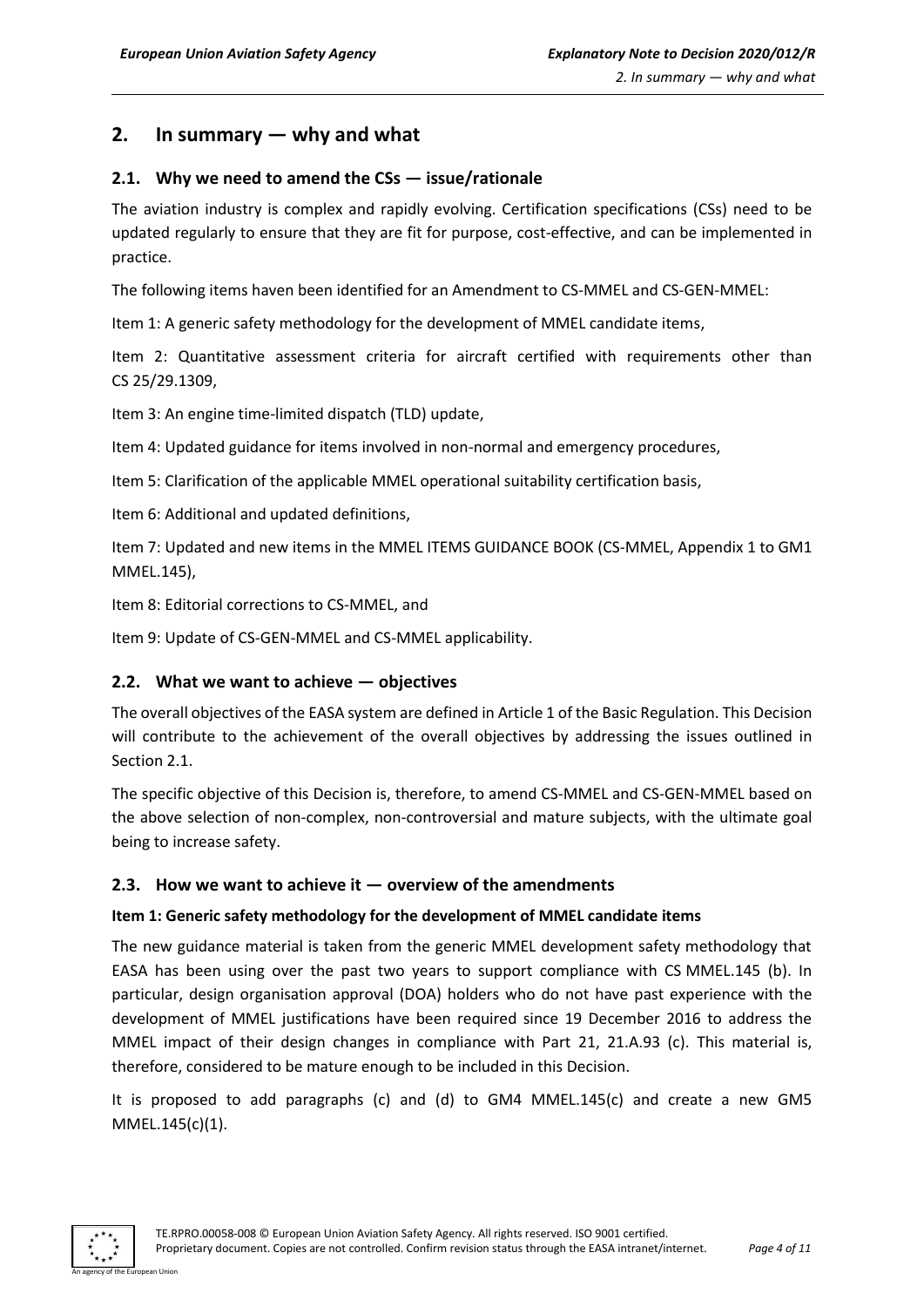## <span id="page-3-0"></span>**2. In summary — why and what**

## <span id="page-3-1"></span>**2.1. Why we need to amend the CSs — issue/rationale**

The aviation industry is complex and rapidly evolving. Certification specifications (CSs) need to be updated regularly to ensure that they are fit for purpose, cost-effective, and can be implemented in practice.

The following items haven been identified for an Amendment to CS-MMEL and CS-GEN-MMEL:

Item 1: A generic safety methodology for the development of MMEL candidate items,

Item 2: Quantitative assessment criteria for aircraft certified with requirements other than CS 25/29.1309,

Item 3: An engine time-limited dispatch (TLD) update,

Item 4: Updated guidance for items involved in non-normal and emergency procedures,

Item 5: Clarification of the applicable MMEL operational suitability certification basis,

Item 6: Additional and updated definitions,

Item 7: Updated and new items in the MMEL ITEMS GUIDANCE BOOK (CS-MMEL, Appendix 1 to GM1 MMEL.145),

Item 8: Editorial corrections to CS-MMEL, and

Item 9: Update of CS-GEN-MMEL and CS-MMEL applicability.

#### <span id="page-3-2"></span>**2.2. What we want to achieve — objectives**

The overall objectives of the EASA system are defined in Article 1 of the Basic Regulation. This Decision will contribute to the achievement of the overall objectives by addressing the issues outlined in Section 2.1.

The specific objective of this Decision is, therefore, to amend CS-MMEL and CS-GEN-MMEL based on the above selection of non-complex, non-controversial and mature subjects, with the ultimate goal being to increase safety.

#### <span id="page-3-3"></span>**2.3. How we want to achieve it — overview of the amendments**

#### **Item 1: Generic safety methodology for the development of MMEL candidate items**

The new guidance material is taken from the generic MMEL development safety methodology that EASA has been using over the past two years to support compliance with CS MMEL.145 (b). In particular, design organisation approval (DOA) holders who do not have past experience with the development of MMEL justifications have been required since 19 December 2016 to address the MMEL impact of their design changes in compliance with Part 21, 21.A.93 (c). This material is, therefore, considered to be mature enough to be included in this Decision.

It is proposed to add paragraphs (c) and (d) to GM4 MMEL.145(c) and create a new GM5 MMEL.145(c)(1).

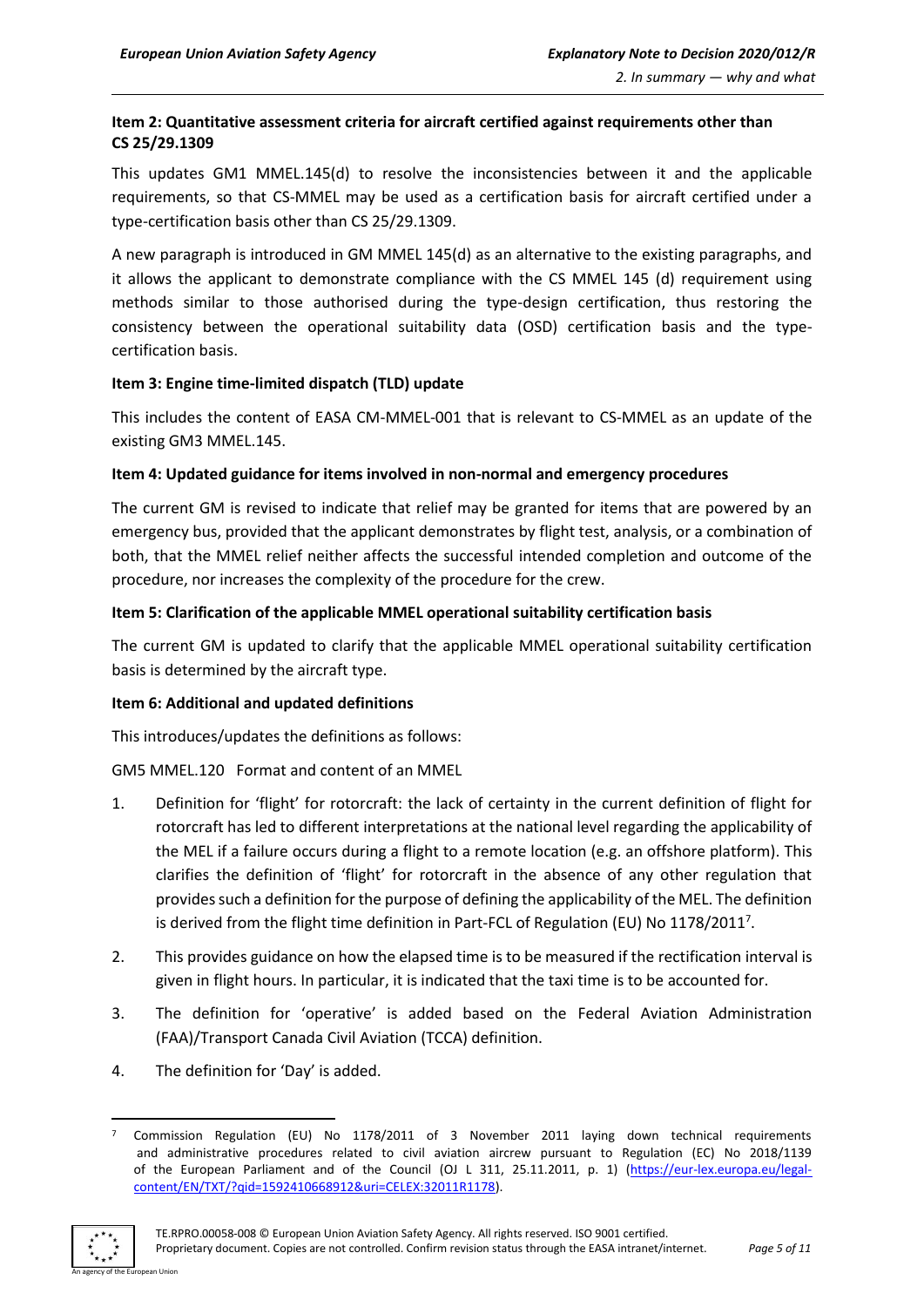#### **Item 2: Quantitative assessment criteria for aircraft certified against requirements other than CS 25/29.1309**

This updates GM1 MMEL.145(d) to resolve the inconsistencies between it and the applicable requirements, so that CS-MMEL may be used as a certification basis for aircraft certified under a type-certification basis other than CS 25/29.1309.

A new paragraph is introduced in GM MMEL 145(d) as an alternative to the existing paragraphs, and it allows the applicant to demonstrate compliance with the CS MMEL 145 (d) requirement using methods similar to those authorised during the type-design certification, thus restoring the consistency between the operational suitability data (OSD) certification basis and the typecertification basis.

#### **Item 3: Engine time-limited dispatch (TLD) update**

This includes the content of EASA CM-MMEL-001 that is relevant to CS-MMEL as an update of the existing GM3 MMEL.145.

#### **Item 4: Updated guidance for items involved in non-normal and emergency procedures**

The current GM is revised to indicate that relief may be granted for items that are powered by an emergency bus, provided that the applicant demonstrates by flight test, analysis, or a combination of both, that the MMEL relief neither affects the successful intended completion and outcome of the procedure, nor increases the complexity of the procedure for the crew.

#### **Item 5: Clarification of the applicable MMEL operational suitability certification basis**

The current GM is updated to clarify that the applicable MMEL operational suitability certification basis is determined by the aircraft type.

#### **Item 6: Additional and updated definitions**

This introduces/updates the definitions as follows:

GM5 MMEL.120 Format and content of an MMEL

- 1. Definition for 'flight' for rotorcraft: the lack of certainty in the current definition of flight for rotorcraft has led to different interpretations at the national level regarding the applicability of the MEL if a failure occurs during a flight to a remote location (e.g. an offshore platform). This clarifies the definition of 'flight' for rotorcraft in the absence of any other regulation that provides such a definition for the purpose of defining the applicability of the MEL. The definition is derived from the flight time definition in Part-FCL of Regulation (EU) No 1178/2011<sup>7</sup>.
- 2. This provides guidance on how the elapsed time is to be measured if the rectification interval is given in flight hours. In particular, it is indicated that the taxi time is to be accounted for.
- 3. The definition for 'operative' is added based on the Federal Aviation Administration (FAA)/Transport Canada Civil Aviation (TCCA) definition.
- 4. The definition for 'Day' is added.

<sup>7</sup> Commission Regulation (EU) No 1178/2011 of 3 November 2011 laying down technical requirements and administrative procedures related to civil aviation aircrew pursuant to Regulation (EC) No 2018/1139 of the European Parliament and of the Council (OJ L 311, 25.11.2011, p. 1) [\(https://eur-lex.europa.eu/legal](https://eur-lex.europa.eu/legal-content/EN/TXT/?qid=1592410668912&uri=CELEX:32011R1178)[content/EN/TXT/?qid=1592410668912&uri=CELEX:32011R1178\)](https://eur-lex.europa.eu/legal-content/EN/TXT/?qid=1592410668912&uri=CELEX:32011R1178).

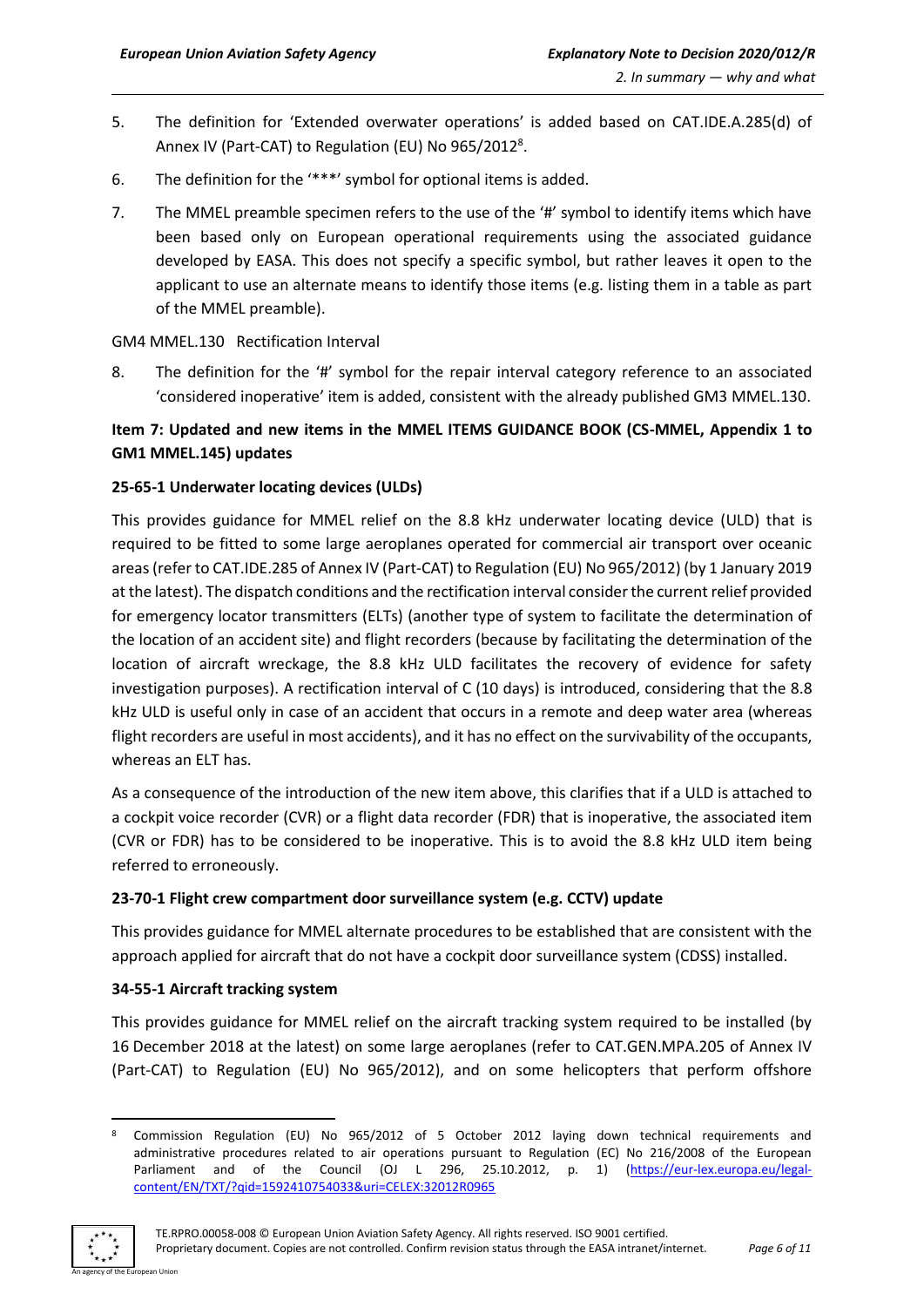- 5. The definition for 'Extended overwater operations' is added based on CAT.IDE.A.285(d) of Annex IV (Part-CAT) to Regulation (EU) No 965/2012<sup>8</sup>.
- 6. The definition for the '\*\*\*' symbol for optional items is added.
- 7. The MMEL preamble specimen refers to the use of the '#' symbol to identify items which have been based only on European operational requirements using the associated guidance developed by EASA. This does not specify a specific symbol, but rather leaves it open to the applicant to use an alternate means to identify those items (e.g. listing them in a table as part of the MMEL preamble).

#### GM4 MMEL.130 Rectification Interval

8. The definition for the '#' symbol for the repair interval category reference to an associated 'considered inoperative' item is added, consistent with the already published GM3 MMEL.130.

## **Item 7: Updated and new items in the MMEL ITEMS GUIDANCE BOOK (CS-MMEL, Appendix 1 to GM1 MMEL.145) updates**

#### **25-65-1 Underwater locating devices (ULDs)**

This provides guidance for MMEL relief on the 8.8 kHz underwater locating device (ULD) that is required to be fitted to some large aeroplanes operated for commercial air transport over oceanic areas (refer to CAT.IDE.285 of Annex IV (Part-CAT) to Regulation (EU) No 965/2012) (by 1 January 2019 at the latest). The dispatch conditions and the rectification interval consider the current relief provided for emergency locator transmitters (ELTs) (another type of system to facilitate the determination of the location of an accident site) and flight recorders (because by facilitating the determination of the location of aircraft wreckage, the 8.8 kHz ULD facilitates the recovery of evidence for safety investigation purposes). A rectification interval of C (10 days) is introduced, considering that the 8.8 kHz ULD is useful only in case of an accident that occurs in a remote and deep water area (whereas flight recorders are useful in most accidents), and it has no effect on the survivability of the occupants, whereas an ELT has.

As a consequence of the introduction of the new item above, this clarifies that if a ULD is attached to a cockpit voice recorder (CVR) or a flight data recorder (FDR) that is inoperative, the associated item (CVR or FDR) has to be considered to be inoperative. This is to avoid the 8.8 kHz ULD item being referred to erroneously.

#### **23-70-1 Flight crew compartment door surveillance system (e.g. CCTV) update**

This provides guidance for MMEL alternate procedures to be established that are consistent with the approach applied for aircraft that do not have a cockpit door surveillance system (CDSS) installed.

#### **34-55-1 Aircraft tracking system**

This provides guidance for MMEL relief on the aircraft tracking system required to be installed (by 16 December 2018 at the latest) on some large aeroplanes (refer to CAT.GEN.MPA.205 of Annex IV (Part-CAT) to Regulation (EU) No 965/2012), and on some helicopters that perform offshore

<sup>8</sup> Commission Regulation (EU) No 965/2012 of 5 October 2012 laying down technical requirements and administrative procedures related to air operations pursuant to Regulation (EC) No 216/2008 of the European Parliament and of the Council (OJ L 296, 25.10.2012, p. 1) [\(https://eur-lex.europa.eu/legal](https://eur-lex.europa.eu/legal-content/EN/TXT/?qid=1592410754033&uri=CELEX:32012R0965)[content/EN/TXT/?qid=1592410754033&uri=CELEX:32012R0965](https://eur-lex.europa.eu/legal-content/EN/TXT/?qid=1592410754033&uri=CELEX:32012R0965)

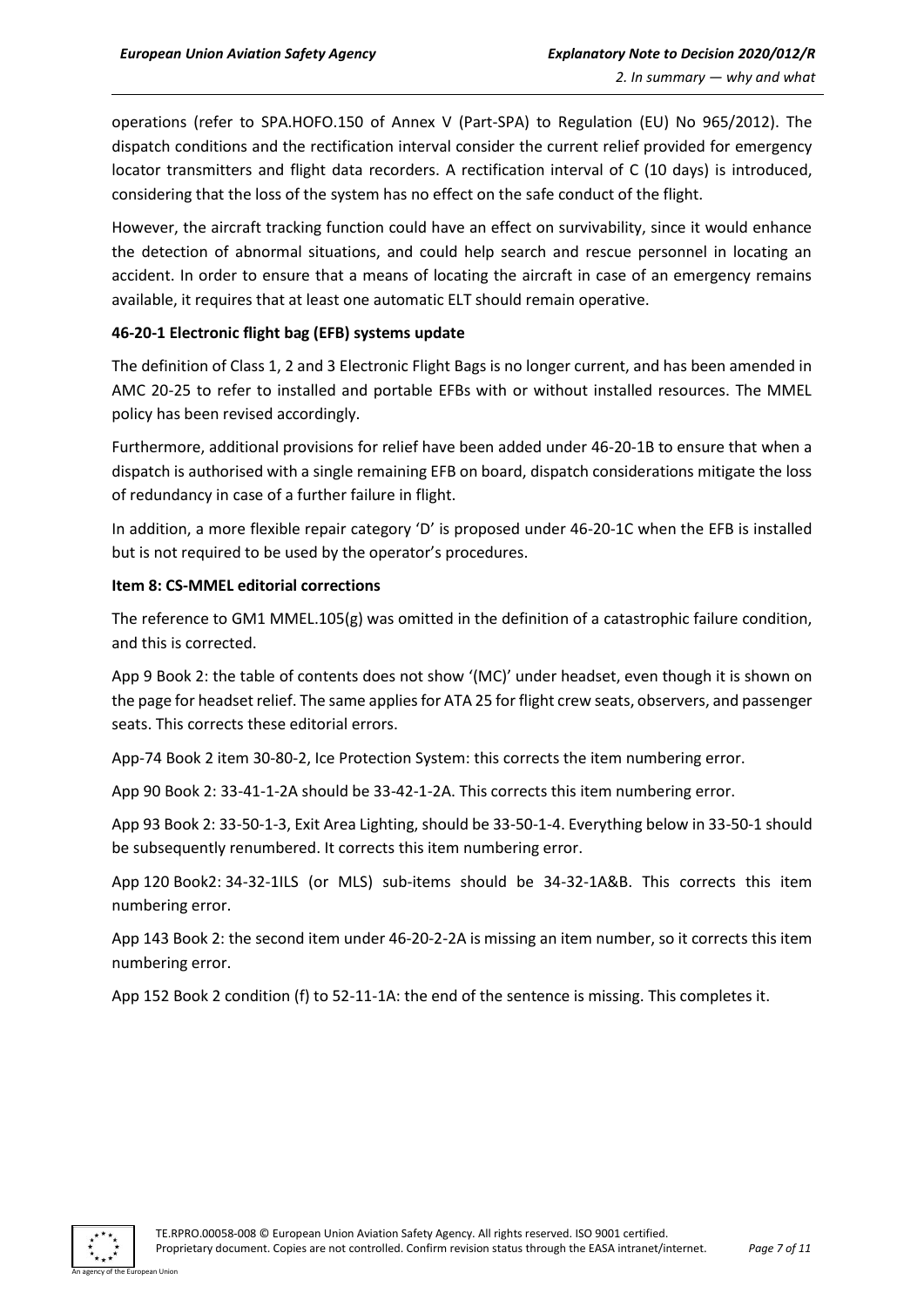operations (refer to SPA.HOFO.150 of Annex V (Part-SPA) to Regulation (EU) No 965/2012). The dispatch conditions and the rectification interval consider the current relief provided for emergency locator transmitters and flight data recorders. A rectification interval of C (10 days) is introduced, considering that the loss of the system has no effect on the safe conduct of the flight.

However, the aircraft tracking function could have an effect on survivability, since it would enhance the detection of abnormal situations, and could help search and rescue personnel in locating an accident. In order to ensure that a means of locating the aircraft in case of an emergency remains available, it requires that at least one automatic ELT should remain operative.

#### **46-20-1 Electronic flight bag (EFB) systems update**

The definition of Class 1, 2 and 3 Electronic Flight Bags is no longer current, and has been amended in AMC 20-25 to refer to installed and portable EFBs with or without installed resources. The MMEL policy has been revised accordingly.

Furthermore, additional provisions for relief have been added under 46-20-1B to ensure that when a dispatch is authorised with a single remaining EFB on board, dispatch considerations mitigate the loss of redundancy in case of a further failure in flight.

In addition, a more flexible repair category 'D' is proposed under 46-20-1C when the EFB is installed but is not required to be used by the operator's procedures.

#### **Item 8: CS-MMEL editorial corrections**

The reference to GM1 MMEL.105(g) was omitted in the definition of a catastrophic failure condition, and this is corrected.

App 9 Book 2: the table of contents does not show '(MC)' under headset, even though it is shown on the page for headset relief. The same applies for ATA 25 for flight crew seats, observers, and passenger seats. This corrects these editorial errors.

App-74 Book 2 item 30-80-2, Ice Protection System: this corrects the item numbering error.

App 90 Book 2: 33-41-1-2A should be 33-42-1-2A. This corrects this item numbering error.

App 93 Book 2: 33-50-1-3, Exit Area Lighting, should be 33-50-1-4. Everything below in 33-50-1 should be subsequently renumbered. It corrects this item numbering error.

App 120 Book2: 34-32-1ILS (or MLS) sub-items should be 34-32-1A&B. This corrects this item numbering error.

App 143 Book 2: the second item under 46-20-2-2A is missing an item number, so it corrects this item numbering error.

App 152 Book 2 condition (f) to 52-11-1A: the end of the sentence is missing. This completes it.

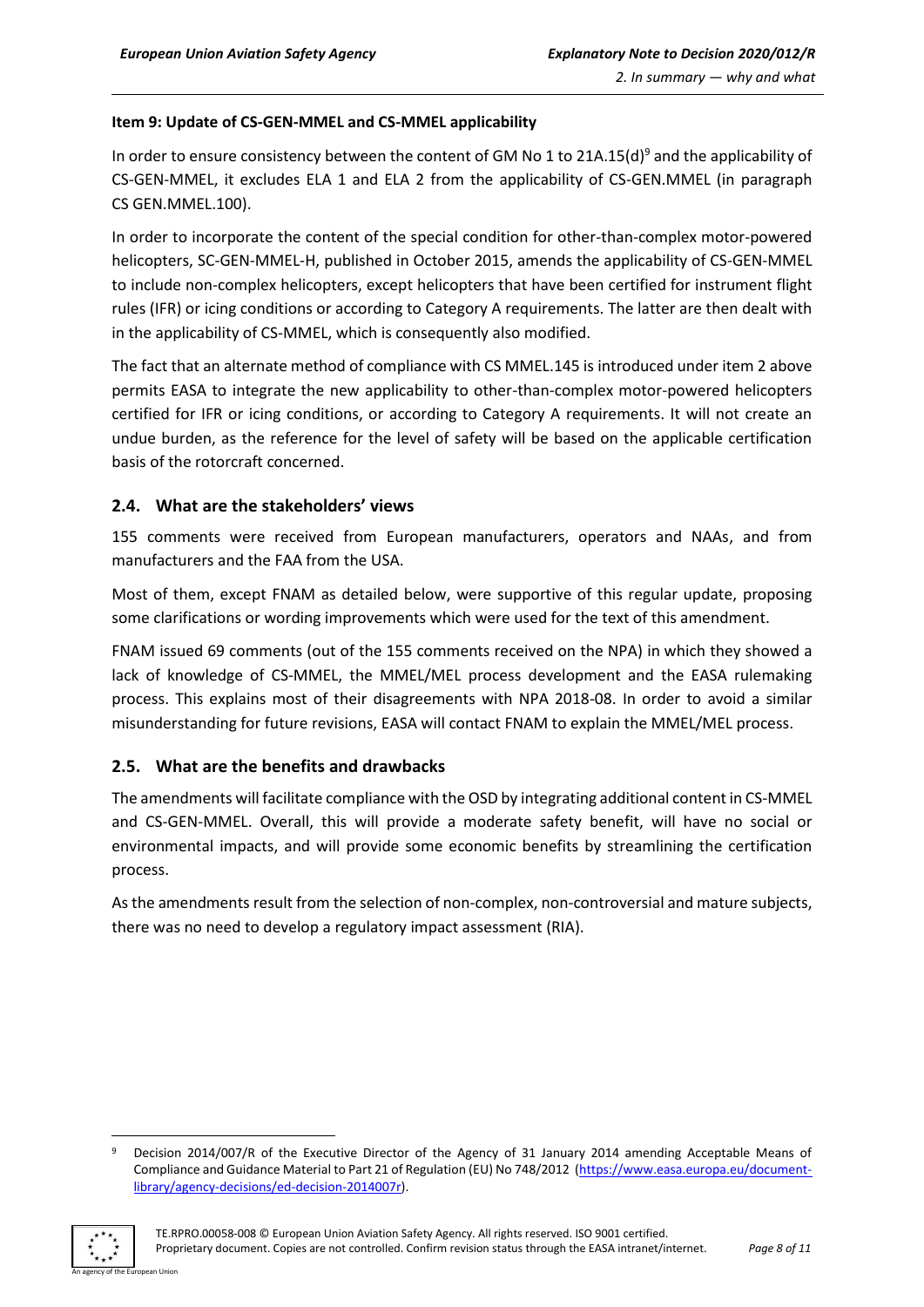#### **Item 9: Update of CS-GEN-MMEL and CS-MMEL applicability**

In order to ensure consistency between the content of GM No 1 to 21A.15(d)<sup>9</sup> and the applicability of CS-GEN-MMEL, it excludes ELA 1 and ELA 2 from the applicability of CS-GEN.MMEL (in paragraph CS GEN.MMEL.100).

In order to incorporate the content of the special condition for other-than-complex motor-powered helicopters, SC-GEN-MMEL-H, published in October 2015, amends the applicability of CS-GEN-MMEL to include non-complex helicopters, except helicopters that have been certified for instrument flight rules (IFR) or icing conditions or according to Category A requirements. The latter are then dealt with in the applicability of CS-MMEL, which is consequently also modified.

The fact that an alternate method of compliance with CS MMEL.145 is introduced under item 2 above permits EASA to integrate the new applicability to other-than-complex motor-powered helicopters certified for IFR or icing conditions, or according to Category A requirements. It will not create an undue burden, as the reference for the level of safety will be based on the applicable certification basis of the rotorcraft concerned.

#### <span id="page-7-0"></span>**2.4. What are the stakeholders' views**

155 comments were received from European manufacturers, operators and NAAs, and from manufacturers and the FAA from the USA.

Most of them, except FNAM as detailed below, were supportive of this regular update, proposing some clarifications or wording improvements which were used for the text of this amendment.

FNAM issued 69 comments (out of the 155 comments received on the NPA) in which they showed a lack of knowledge of CS-MMEL, the MMEL/MEL process development and the EASA rulemaking process. This explains most of their disagreements with NPA 2018-08. In order to avoid a similar misunderstanding for future revisions, EASA will contact FNAM to explain the MMEL/MEL process.

#### <span id="page-7-1"></span>**2.5. What are the benefits and drawbacks**

The amendments will facilitate compliance with the OSD by integrating additional content in CS-MMEL and CS-GEN-MMEL. Overall, this will provide a moderate safety benefit, will have no social or environmental impacts, and will provide some economic benefits by streamlining the certification process.

As the amendments result from the selection of non-complex, non-controversial and mature subjects, there was no need to develop a regulatory impact assessment (RIA).

<sup>9</sup> Decision 2014/007/R of the Executive Director of the Agency of 31 January 2014 amending Acceptable Means of Compliance and Guidance Material to Part 21 of Regulation (EU) No 748/2012 [\(https://www.easa.europa.eu/document](https://www.easa.europa.eu/document-library/agency-decisions/ed-decision-2014007r)[library/agency-decisions/ed-decision-2014007r\)](https://www.easa.europa.eu/document-library/agency-decisions/ed-decision-2014007r).

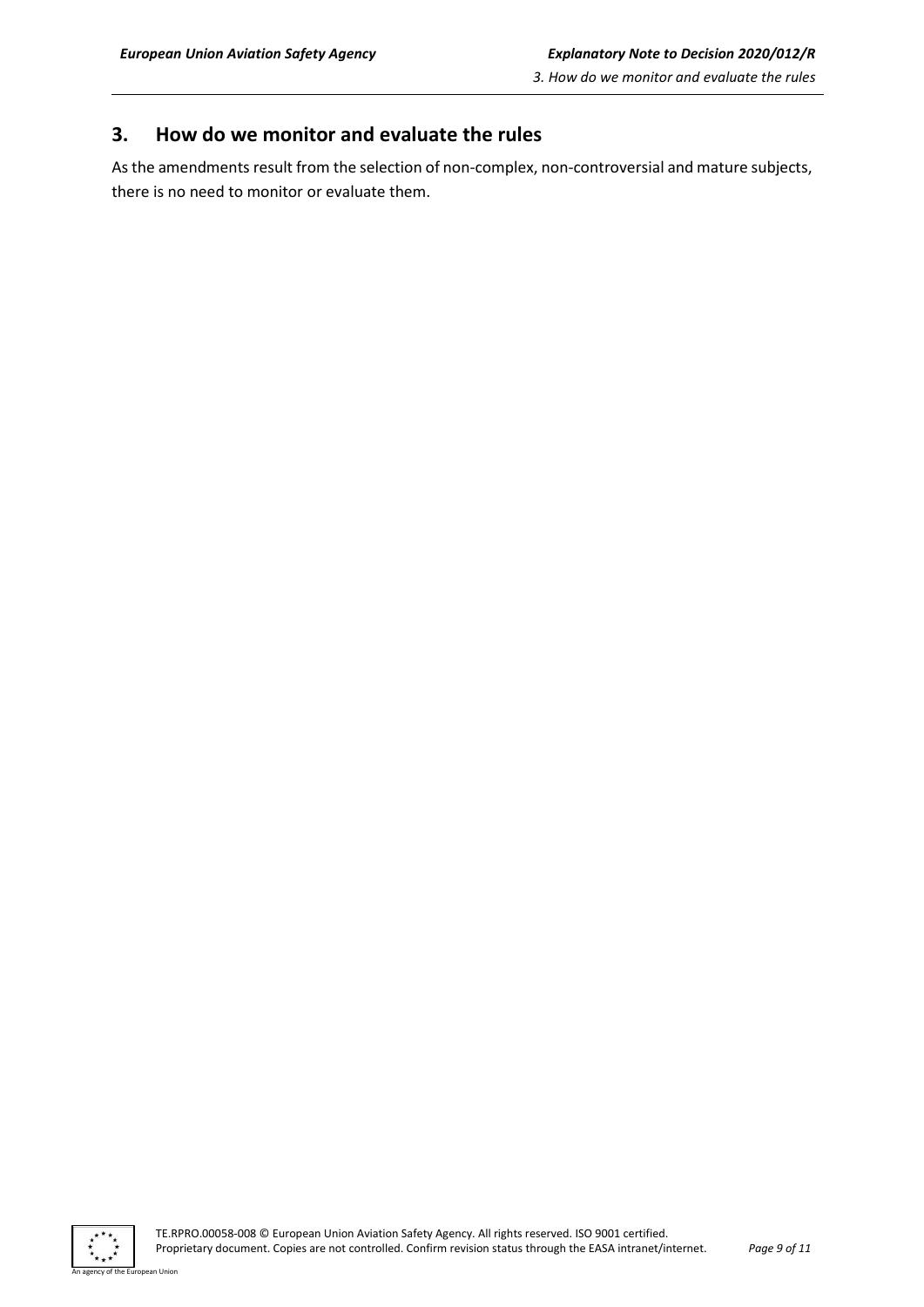## <span id="page-8-0"></span>**3. How do we monitor and evaluate the rules**

As the amendments result from the selection of non-complex, non-controversial and mature subjects, there is no need to monitor or evaluate them.



an Union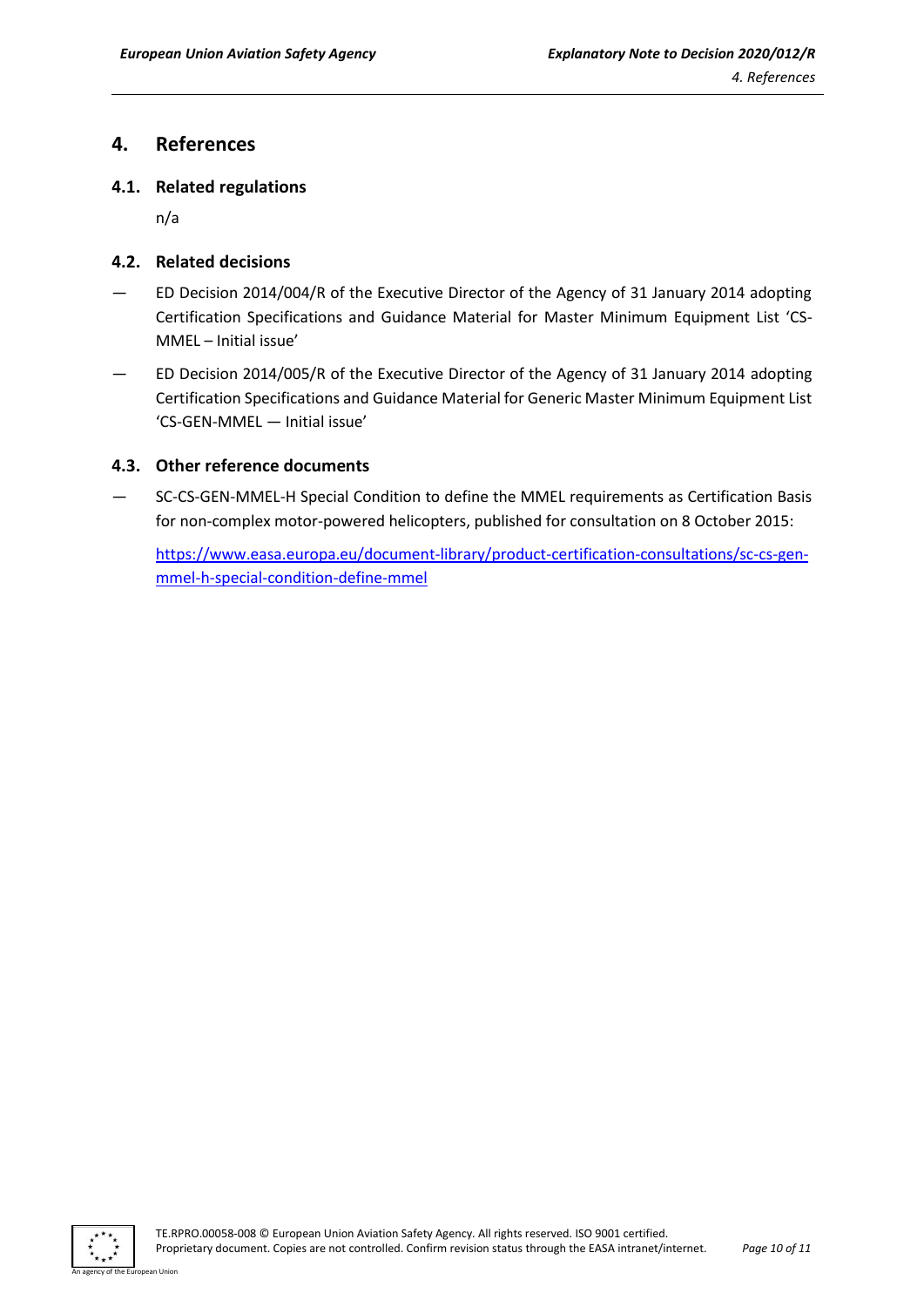## <span id="page-9-0"></span>**4. References**

#### <span id="page-9-1"></span>**4.1. Related regulations**

n/a

#### <span id="page-9-2"></span>**4.2. Related decisions**

- ED Decision 2014/004/R of the Executive Director of the Agency of 31 January 2014 adopting Certification Specifications and Guidance Material for Master Minimum Equipment List 'CS-MMEL – Initial issue'
- ED Decision 2014/005/R of the Executive Director of the Agency of 31 January 2014 adopting Certification Specifications and Guidance Material for Generic Master Minimum Equipment List 'CS-GEN-MMEL — Initial issue'

#### <span id="page-9-3"></span>**4.3. Other reference documents**

— SC-CS-GEN-MMEL-H Special Condition to define the MMEL requirements as Certification Basis for non-complex motor-powered helicopters, published for consultation on 8 October 2015:

[https://www.easa.europa.eu/document-library/product-certification-consultations/sc-cs-gen](https://www.easa.europa.eu/document-library/product-certification-consultations/sc-cs-gen-mmel-h-special-condition-define-mmel)[mmel-h-special-condition-define-mmel](https://www.easa.europa.eu/document-library/product-certification-consultations/sc-cs-gen-mmel-h-special-condition-define-mmel)